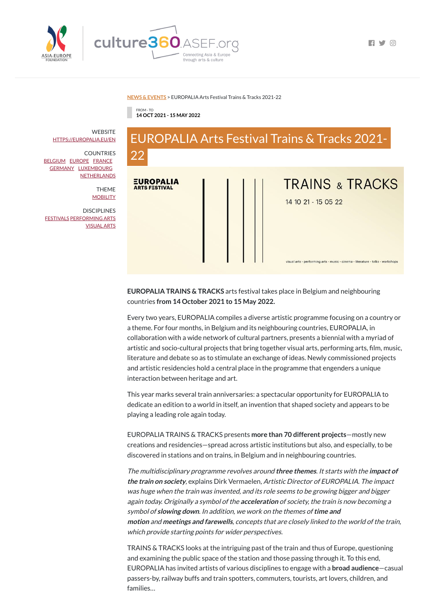

 $\Box$ 

## **NEWS & [EVENTS](https://culture360.asef.org/news-events/)** > EUROPALIA Arts Festival Trains & Tracks 2021-22

FROM - TO **14 OCT 2021 - 15 MAY 2022**



**EUROPALIA TRAINS & TRACKS** arts festival takes place in Belgium and neighbouring countries **from 14 October 2021 to 15 May 2022.**

Every two years, EUROPALIA compiles a diverse artistic programme focusing on a country or a theme. For four months, in Belgium and its neighbouring countries, EUROPALIA, in collaboration with a wide network of cultural partners, presents a biennial with a myriad of artistic and socio-cultural projects that bring together visual arts, performing arts, film, music, literature and debate so as to stimulate an exchange of ideas. Newly commissioned projects and artistic residencies hold a central place in the programme that engenders a unique interaction between heritage and art.

This year marks several train anniversaries: a spectacular opportunity for EUROPALIA to dedicate an edition to a world in itself, an invention that shaped society and appears to be playing a leading role again today.

**WEBSITE** [HTTPS://EUROPALIA.EU/EN](https://europalia.eu/en)

**COUNTRIES** [BELGIUM](https://culture360.asef.org/countries/belgium/) [EUROPE](https://culture360.asef.org/countries/europe/) [FRANCE](https://culture360.asef.org/countries/france/) [GERMANY](https://culture360.asef.org/countries/germany/) [LUXEMBOURG](https://culture360.asef.org/countries/luxembourg/) **[NETHERLANDS](https://culture360.asef.org/countries/netherlands/)** 

> THEME **[MOBILITY](https://culture360.asef.org/themes/mobility/)**

> > EUROPALIA TRAINS & TRACKS presents **more than 70 different projects**—mostly new creations and residencies—spread across artistic institutions but also, and especially, to be discovered in stations and on trains, in Belgium and in neighbouring countries.

**DISCIPLINES** [FESTIVALS](https://culture360.asef.org/disciplines/festivals/) [PERFORMING](https://culture360.asef.org/disciplines/performing-arts/) ARTS [VISUAL](https://culture360.asef.org/disciplines/visual-arts/) ARTS

> The multidisciplinary programme revolves around **three themes**. It starts with the **impact of the train on society**, explains Dirk Vermaelen, Artistic Director of EUROPALIA. The impact was huge when the train was invented, and its role seems to be growing bigger and bigger again today. Originally <sup>a</sup> symbol of the **acceleration** of society, the train is now becoming <sup>a</sup> symbol of **slowing down**. In addition, we work on the themes of**time and motion** and **meetings and farewells**, concepts that are closely linked to the world of the train, which provide starting points for wider perspectives.

> TRAINS & TRACKS looks at the intriguing past of the train and thus of Europe, questioning and examining the public space of the station and those passing through it. To this end, EUROPALIA has invited artists of various disciplines to engage with a **broad audience**—casual passers-by, railway buffs and train spotters, commuters, tourists, art lovers, children, and families…